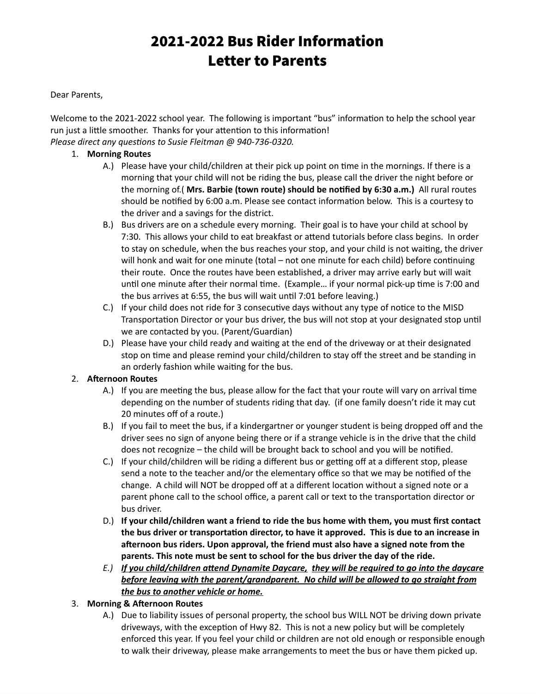## 2021-2022 Bus Rider Information Letter to Parents

#### Dear Parents,

Welcome to the 2021-2022 school year. The following is important "bus" information to help the school year run just a little smoother. Thanks for your attention to this information! *Please direct any questions to Susie Fleitman @ 940-736-0320.*

### 1. **Morning Routes**

- A.) Please have your child/children at their pick up point on time in the mornings. If there is a morning that your child will not be riding the bus, please call the driver the night before or the morning of.( **Mrs. Barbie (town route) should be notified by 6:30 a.m.)** All rural routes should be notified by 6:00 a.m. Please see contact information below. This is a courtesy to the driver and a savings for the district.
- B.) Bus drivers are on a schedule every morning. Their goal is to have your child at school by 7:30. This allows your child to eat breakfast or attend tutorials before class begins. In order to stay on schedule, when the bus reaches your stop, and your child is not waiting, the driver will honk and wait for one minute (total – not one minute for each child) before continuing their route. Once the routes have been established, a driver may arrive early but will wait until one minute after their normal time. (Example… if your normal pick-up time is 7:00 and the bus arrives at 6:55, the bus will wait until 7:01 before leaving.)
- C.) If your child does not ride for 3 consecutive days without any type of notice to the MISD Transportation Director or your bus driver, the bus will not stop at your designated stop until we are contacted by you. (Parent/Guardian)
- D.) Please have your child ready and waiting at the end of the driveway or at their designated stop on time and please remind your child/children to stay off the street and be standing in an orderly fashion while waiting for the bus.

#### 2. **Afternoon Routes**

- A.) If you are meeting the bus, please allow for the fact that your route will vary on arrival time depending on the number of students riding that day. (if one family doesn't ride it may cut 20 minutes off of a route.)
- B.) If you fail to meet the bus, if a kindergartner or younger student is being dropped off and the driver sees no sign of anyone being there or if a strange vehicle is in the drive that the child does not recognize – the child will be brought back to school and you will be notified.
- C.) If your child/children will be riding a different bus or getting off at a different stop, please send a note to the teacher and/or the elementary office so that we may be notified of the change. A child will NOT be dropped off at a different location without a signed note or a parent phone call to the school office, a parent call or text to the transportation director or bus driver.
- D.) **If your child/children want a friend to ride the bus home with them, you must first contact the bus driver or transportation director, to have it approved. This is due to an increase in afternoon bus riders. Upon approval, the friend must also have a signed note from the parents. This note must be sent to school for the bus driver the day of the ride.**
- *E.) If you child/children attend Dynamite Daycare, they will be required to go into the daycare before leaving with the parent/grandparent. No child will be allowed to go straight from the bus to another vehicle or home.*
- 3. **Morning & Afternoon Routes**
	- A.) Due to liability issues of personal property, the school bus WILL NOT be driving down private driveways, with the exception of Hwy 82. This is not a new policy but will be completely enforced this year. If you feel your child or children are not old enough or responsible enough to walk their driveway, please make arrangements to meet the bus or have them picked up.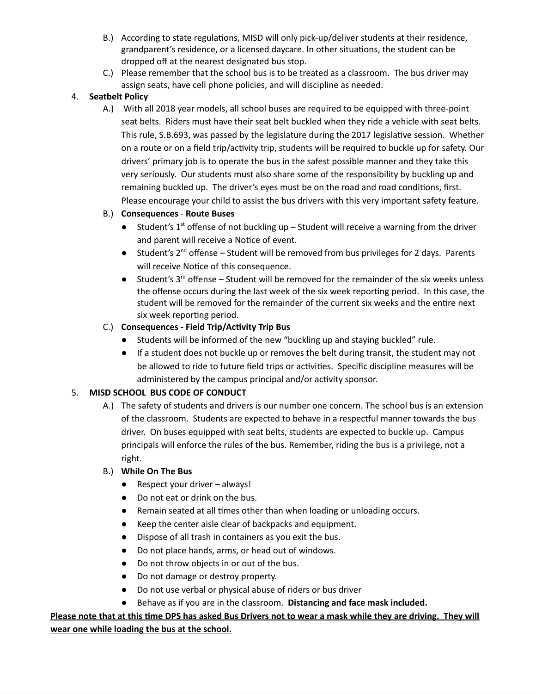- B.) According to state regulations, MISD will only pick-up/deliver students at their residence, grandparent's residence, or a licensed daycare. In other situations, the student can be dropped off at the nearest designated bus stop.
- C.) Please remember that the school bus is to be treated as a classroom. The bus driver may assign seats, have cell phone policies, and will discipline as needed.

#### 4. **Seatbelt Policy**

A.) With all 2018 year models, all school buses are required to be equipped with three-point seat belts. Riders must have their seat belt buckled when they ride a vehicle with seat belts. This rule, S.B.693, was passed by the legislature during the 2017 legislative session. Whether on a route or on a field trip/activity trip, students will be required to buckle up for safety. Our drivers' primary job is to operate the bus in the safest possible manner and they take this very seriously. Our students must also share some of the responsibility by buckling up and remaining buckled up. The driver's eyes must be on the road and road conditions, first. Please encourage your child to assist the bus drivers with this very important safety feature.

#### B.) **Consequences** - **Route Buses**

- Student's  $1^{st}$  offense of not buckling up Student will receive a warning from the driver and parent will receive a Notice of event.
- Student's 2<sup>nd</sup> offense Student will be removed from bus privileges for 2 days. Parents will receive Notice of this consequence.
- $\bullet$  Student's 3<sup>rd</sup> offense Student will be removed for the remainder of the six weeks unless the offense occurs during the last week of the six week reporting period. In this case, the student will be removed for the remainder of the current six weeks and the entire next six week reporting period.

#### C.) **Consequences - Field Trip/Activity Trip Bus**

- Students will be informed of the new "buckling up and staying buckled" rule.
- If a student does not buckle up or removes the belt during transit, the student may not be allowed to ride to future field trips or activities. Specific discipline measures will be administered by the campus principal and/or activity sponsor.

#### 5. **MISD SCHOOL BUS CODE OF CONDUCT**

A.) The safety of students and drivers is our number one concern. The school bus is an extension of the classroom. Students are expected to behave in a respectful manner towards the bus driver. On buses equipped with seat belts, students are expected to buckle up. Campus principals will enforce the rules of the bus. Remember, riding the bus is a privilege, not a right.

#### B.) **While On The Bus**

- Respect your driver always!
- Do not eat or drink on the bus.
- Remain seated at all times other than when loading or unloading occurs.
- Keep the center aisle clear of backpacks and equipment.
- Dispose of all trash in containers as you exit the bus.
- Do not place hands, arms, or head out of windows.
- Do not throw objects in or out of the bus.
- Do not damage or destroy property.
- Do not use verbal or physical abuse of riders or bus driver
- Behave as if you are in the classroom. **Distancing and face mask included.**

#### Please note that at this time DPS has asked Bus Drivers not to wear a mask while they are driving. They will **wear one while loading the bus at the school.**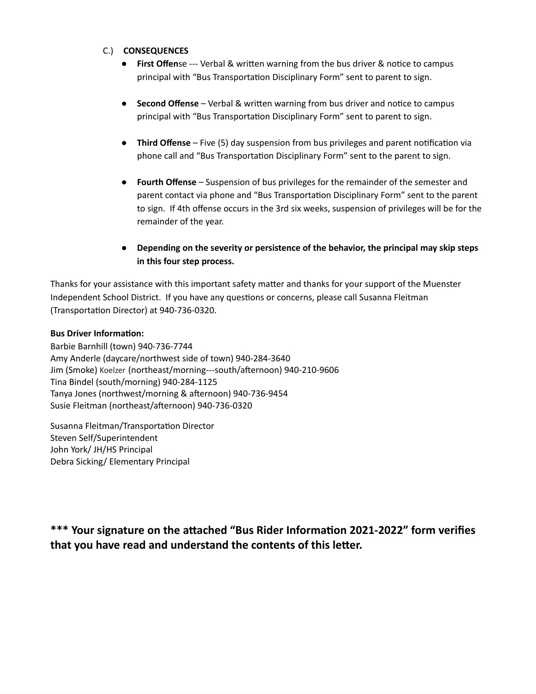#### C.) **CONSEQUENCES**

- **First Offen**se --- Verbal & written warning from the bus driver & notice to campus principal with "Bus Transportation Disciplinary Form" sent to parent to sign.
- **Second Offense** Verbal & written warning from bus driver and notice to campus principal with "Bus Transportation Disciplinary Form" sent to parent to sign.
- **Third Offense** Five (5) day suspension from bus privileges and parent notification via phone call and "Bus Transportation Disciplinary Form" sent to the parent to sign.
- **Fourth Offense** Suspension of bus privileges for the remainder of the semester and parent contact via phone and "Bus Transportation Disciplinary Form" sent to the parent to sign. If 4th offense occurs in the 3rd six weeks, suspension of privileges will be for the remainder of the year.

#### ● **Depending on the severity or persistence of the behavior, the principal may skip steps in this four step process.**

Thanks for your assistance with this important safety matter and thanks for your support of the Muenster Independent School District. If you have any questions or concerns, please call Susanna Fleitman (Transportation Director) at 940-736-0320.

#### **Bus Driver Information:**

Barbie Barnhill (town) 940-736-7744 Amy Anderle (daycare/northwest side of town) 940-284-3640 Jim (Smoke) Koelzer (northeast/morning---south/afternoon) 940-210-9606 Tina Bindel (south/morning) 940-284-1125 Tanya Jones (northwest/morning & afternoon) 940-736-9454 Susie Fleitman (northeast/afternoon) 940-736-0320

Susanna Fleitman/Transportation Director Steven Self/Superintendent John York/ JH/HS Principal Debra Sicking/ Elementary Principal

**\*\*\* Your signature on the attached "Bus Rider Information 2021-2022" form verifies that you have read and understand the contents of this letter.**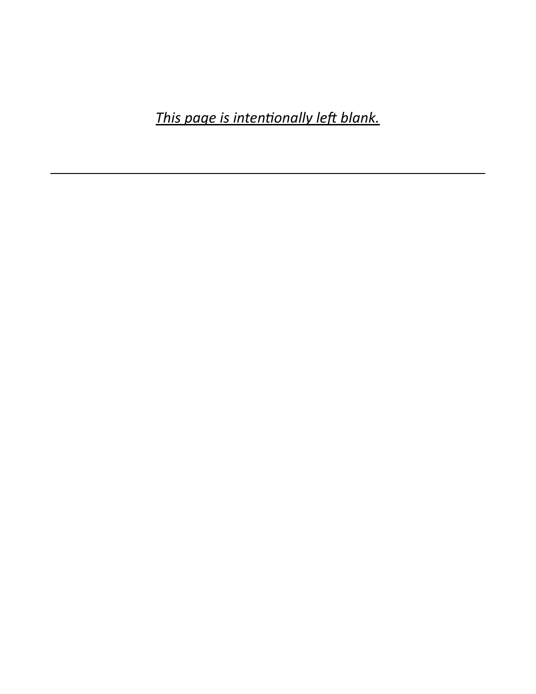*This page is intentionally left blank.*